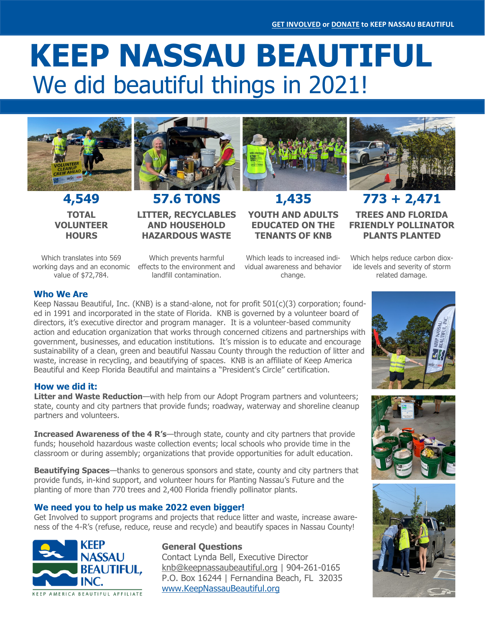# We did beautiful things in 2021! **KEEP NASSAU BEAUTIFUL**



**TOTAL VOLUNTEER HOURS**



**4,549 57.6 TONS 1,435 773 + 2,471 LITTER, RECYCLABLES AND HOUSEHOLD HAZARDOUS WASTE** 



**YOUTH AND ADULTS EDUCATED ON THE TENANTS OF KNB**

Which translates into 569 value of \$72,784.

working days and an economic effects to the environment and Which prevents harmful landfill contamination.

Which leads to increased individual awareness and behavior change.

**FRIENDLY POLLINATOR PLANTS PLANTED** Which helps reduce carbon dioxide levels and severity of storm

related damage.

**TREES AND FLORIDA** 

#### **Who We Are**

Keep Nassau Beautiful, Inc. (KNB) is a stand-alone, not for profit 501(c)(3) corporation; founded in 1991 and incorporated in the state of Florida. KNB is governed by a volunteer board of directors, it's executive director and program manager. It is a volunteer-based community action and education organization that works through concerned citizens and partnerships with government, businesses, and education institutions. It's mission is to educate and encourage sustainability of a clean, green and beautiful Nassau County through the reduction of litter and waste, increase in recycling, and beautifying of spaces. KNB is an affiliate of Keep America Beautiful and Keep Florida Beautiful and maintains a "President's Circle" certification.

#### **How we did it:**

**Litter and Waste Reduction**—with help from our Adopt Program partners and volunteers; state, county and city partners that provide funds; roadway, waterway and shoreline cleanup partners and volunteers.

**Increased Awareness of the 4 R's—through state, county and city partners that provide** funds; household hazardous waste collection events; local schools who provide time in the classroom or during assembly; organizations that provide opportunities for adult education.

**Beautifying Spaces**—thanks to generous sponsors and state, county and city partners that provide funds, in-kind support, and volunteer hours for Planting Nassau's Future and the planting of more than 770 trees and 2,400 Florida friendly pollinator plants.

#### **We need you to help us make 2022 even bigger!**

Get Involved to support programs and projects that reduce litter and waste, increase awareness of the 4-R's (refuse, reduce, reuse and recycle) and beautify spaces in Nassau County!



#### **General Questions**

Contact Lynda Bell, Executive Director [knb@keepnassaubeautiful.org](mailto:knb@keepnassaubeautiful.org) | 904-261-0165 P.O. Box 16244 | Fernandina Beach, FL 32035 [www.KeepNassauBeautiful.org](http://www.KeepNassauBeautiful.org)